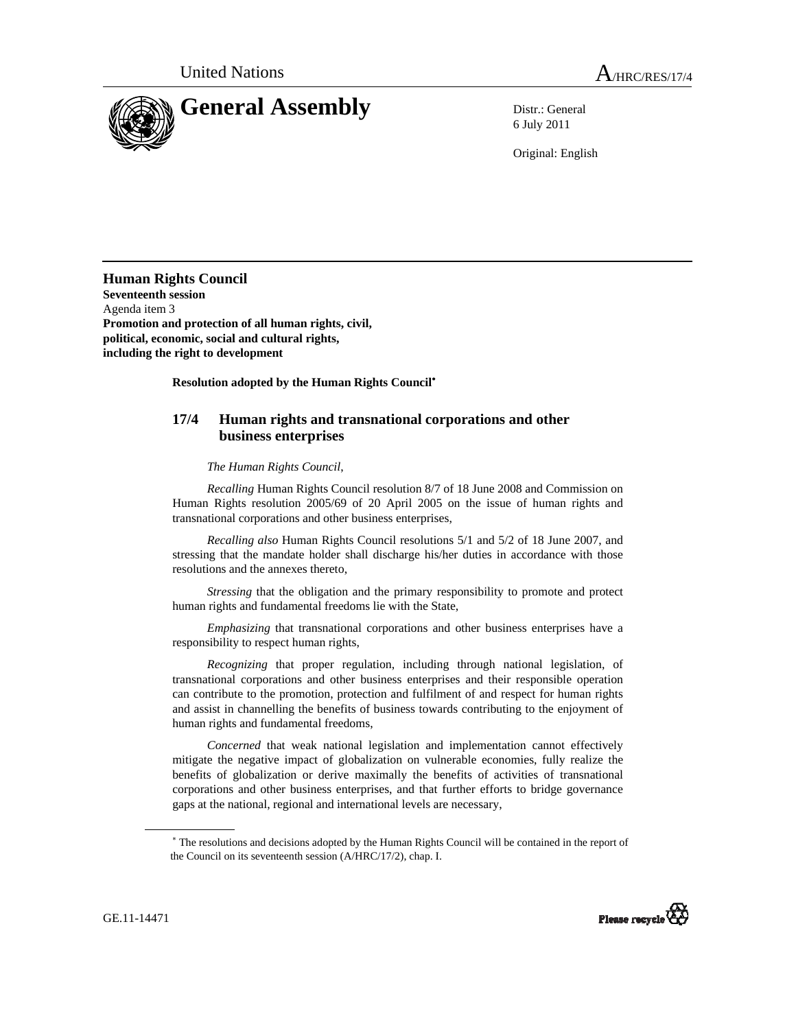

6 July 2011

Original: English

**Human Rights Council Seventeenth session**  Agenda item 3 **Promotion and protection of all human rights, civil, political, economic, social and cultural rights, including the right to development** 

 **Resolution adopted by the Human Rights Council**<sup>∗</sup>

## **17/4 Human rights and transnational corporations and other business enterprises**

## *The Human Rights Council*,

 *Recalling* Human Rights Council resolution 8/7 of 18 June 2008 and Commission on Human Rights resolution 2005/69 of 20 April 2005 on the issue of human rights and transnational corporations and other business enterprises,

 *Recalling also* Human Rights Council resolutions 5/1 and 5/2 of 18 June 2007, and stressing that the mandate holder shall discharge his/her duties in accordance with those resolutions and the annexes thereto,

 *Stressing* that the obligation and the primary responsibility to promote and protect human rights and fundamental freedoms lie with the State,

 *Emphasizing* that transnational corporations and other business enterprises have a responsibility to respect human rights,

 *Recognizing* that proper regulation, including through national legislation, of transnational corporations and other business enterprises and their responsible operation can contribute to the promotion, protection and fulfilment of and respect for human rights and assist in channelling the benefits of business towards contributing to the enjoyment of human rights and fundamental freedoms,

 *Concerned* that weak national legislation and implementation cannot effectively mitigate the negative impact of globalization on vulnerable economies, fully realize the benefits of globalization or derive maximally the benefits of activities of transnational corporations and other business enterprises, and that further efforts to bridge governance gaps at the national, regional and international levels are necessary,

<sup>∗</sup> The resolutions and decisions adopted by the Human Rights Council will be contained in the report of the Council on its seventeenth session (A/HRC/17/2), chap. I.

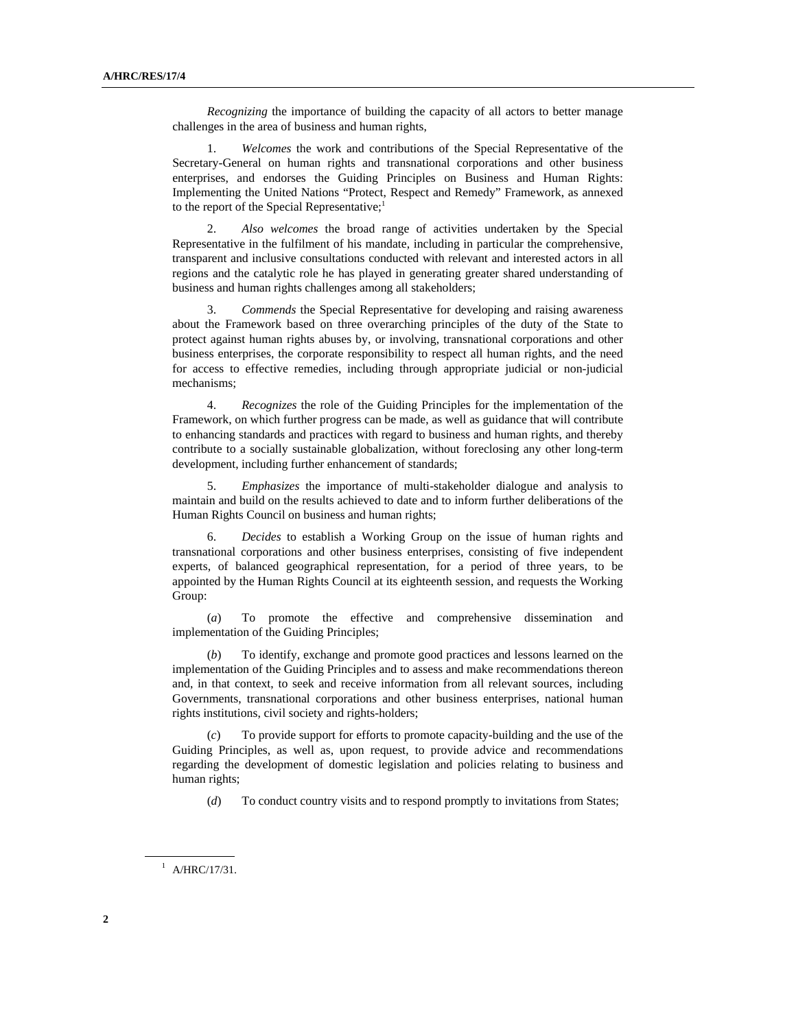*Recognizing* the importance of building the capacity of all actors to better manage challenges in the area of business and human rights,

 1. *Welcomes* the work and contributions of the Special Representative of the Secretary-General on human rights and transnational corporations and other business enterprises, and endorses the Guiding Principles on Business and Human Rights: Implementing the United Nations "Protect, Respect and Remedy" Framework, as annexed to the report of the Special Representative;<sup>1</sup>

 2. *Also welcomes* the broad range of activities undertaken by the Special Representative in the fulfilment of his mandate, including in particular the comprehensive, transparent and inclusive consultations conducted with relevant and interested actors in all regions and the catalytic role he has played in generating greater shared understanding of business and human rights challenges among all stakeholders;

 3. *Commends* the Special Representative for developing and raising awareness about the Framework based on three overarching principles of the duty of the State to protect against human rights abuses by, or involving, transnational corporations and other business enterprises, the corporate responsibility to respect all human rights, and the need for access to effective remedies, including through appropriate judicial or non-judicial mechanisms;

 4. *Recognizes* the role of the Guiding Principles for the implementation of the Framework, on which further progress can be made, as well as guidance that will contribute to enhancing standards and practices with regard to business and human rights, and thereby contribute to a socially sustainable globalization, without foreclosing any other long-term development, including further enhancement of standards;

 5. *Emphasizes* the importance of multi-stakeholder dialogue and analysis to maintain and build on the results achieved to date and to inform further deliberations of the Human Rights Council on business and human rights;

 6. *Decides* to establish a Working Group on the issue of human rights and transnational corporations and other business enterprises, consisting of five independent experts, of balanced geographical representation, for a period of three years, to be appointed by the Human Rights Council at its eighteenth session, and requests the Working Group:

 (*a*) To promote the effective and comprehensive dissemination and implementation of the Guiding Principles;

To identify, exchange and promote good practices and lessons learned on the implementation of the Guiding Principles and to assess and make recommendations thereon and, in that context, to seek and receive information from all relevant sources, including Governments, transnational corporations and other business enterprises, national human rights institutions, civil society and rights-holders;

 (*c*) To provide support for efforts to promote capacity-building and the use of the Guiding Principles, as well as, upon request, to provide advice and recommendations regarding the development of domestic legislation and policies relating to business and human rights;

(*d*) To conduct country visits and to respond promptly to invitations from States;

 $^1$  A/HRC/17/31.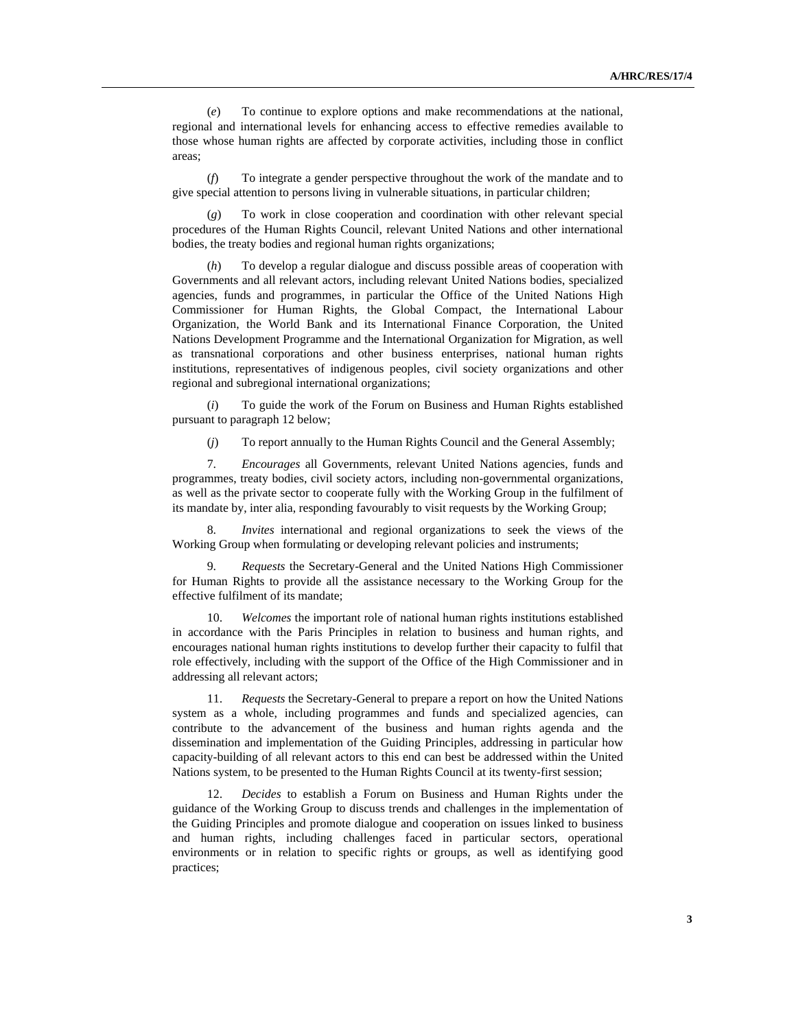(*e*) To continue to explore options and make recommendations at the national, regional and international levels for enhancing access to effective remedies available to those whose human rights are affected by corporate activities, including those in conflict areas;

 (*f*) To integrate a gender perspective throughout the work of the mandate and to give special attention to persons living in vulnerable situations, in particular children;

To work in close cooperation and coordination with other relevant special procedures of the Human Rights Council, relevant United Nations and other international bodies, the treaty bodies and regional human rights organizations;

 (*h*) To develop a regular dialogue and discuss possible areas of cooperation with Governments and all relevant actors, including relevant United Nations bodies, specialized agencies, funds and programmes, in particular the Office of the United Nations High Commissioner for Human Rights, the Global Compact, the International Labour Organization, the World Bank and its International Finance Corporation, the United Nations Development Programme and the International Organization for Migration, as well as transnational corporations and other business enterprises, national human rights institutions, representatives of indigenous peoples, civil society organizations and other regional and subregional international organizations;

 (*i*) To guide the work of the Forum on Business and Human Rights established pursuant to paragraph 12 below;

(*j*) To report annually to the Human Rights Council and the General Assembly;

 7. *Encourages* all Governments, relevant United Nations agencies, funds and programmes, treaty bodies, civil society actors, including non-governmental organizations, as well as the private sector to cooperate fully with the Working Group in the fulfilment of its mandate by, inter alia, responding favourably to visit requests by the Working Group;

 8. *Invites* international and regional organizations to seek the views of the Working Group when formulating or developing relevant policies and instruments;

 9. *Requests* the Secretary-General and the United Nations High Commissioner for Human Rights to provide all the assistance necessary to the Working Group for the effective fulfilment of its mandate;

 10. *Welcomes* the important role of national human rights institutions established in accordance with the Paris Principles in relation to business and human rights, and encourages national human rights institutions to develop further their capacity to fulfil that role effectively, including with the support of the Office of the High Commissioner and in addressing all relevant actors;

 11. *Requests* the Secretary-General to prepare a report on how the United Nations system as a whole, including programmes and funds and specialized agencies, can contribute to the advancement of the business and human rights agenda and the dissemination and implementation of the Guiding Principles, addressing in particular how capacity-building of all relevant actors to this end can best be addressed within the United Nations system, to be presented to the Human Rights Council at its twenty-first session;

 12. *Decides* to establish a Forum on Business and Human Rights under the guidance of the Working Group to discuss trends and challenges in the implementation of the Guiding Principles and promote dialogue and cooperation on issues linked to business and human rights, including challenges faced in particular sectors, operational environments or in relation to specific rights or groups, as well as identifying good practices;